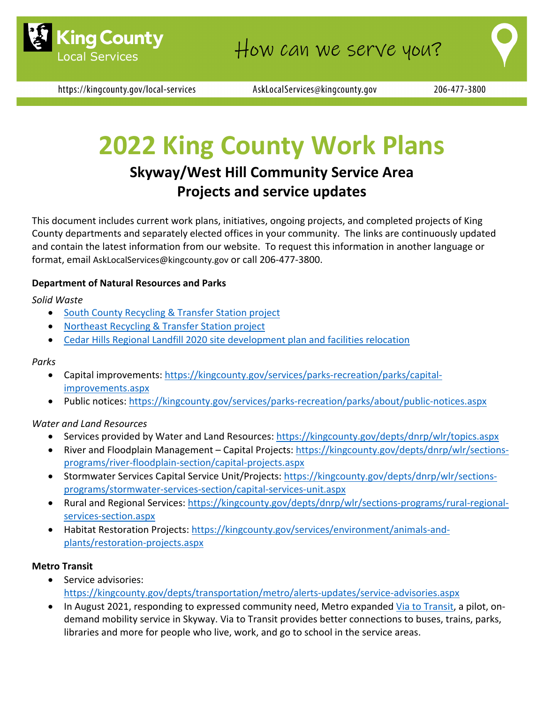

https://kingcounty.gov/local-services

AskLocalServices@kingcounty.gov

# **2022 King County Work Plans**

# **Skyway/West Hill Community Service Area Projects and service updates**

This document includes current work plans, initiatives, ongoing projects, and completed projects of King County departments and separately elected offices in your community. The links are continuously updated and contain the latest information from our website. To request this information in another language or format, email [AskLocalServices@kingcounty.gov](mailto:AskLocalServices@kingcounty.gov) or call 206-477-3800.

## **Department of Natural Resources and Parks**

## *Solid Waste*

- [South County Recycling & Transfer Station project](https://kingcounty.gov/depts/dnrp/solid-waste/facilities/south-county.aspx)
- [Northeast Recycling & Transfer Station project](https://kingcounty.gov/depts/dnrp/solid-waste/facilities/northeast.aspx)
- [Cedar Hills Regional Landfill 2020 site development plan and facilities relocation](https://kingcounty.gov/depts/dnrp/solid-waste/facilities/landfills/cedar-hills-development.aspx)

#### *Parks*

- Capital improvements: [https://kingcounty.gov/services/parks-recreation/parks/capital](https://kingcounty.gov/services/parks-recreation/parks/capital-improvements.aspx)[improvements.aspx](https://kingcounty.gov/services/parks-recreation/parks/capital-improvements.aspx)
- Public notices:<https://kingcounty.gov/services/parks-recreation/parks/about/public-notices.aspx>

## *Water and Land Resources*

- Services provided by Water and Land Resources:<https://kingcounty.gov/depts/dnrp/wlr/topics.aspx>
- River and Floodplain Management Capital Projects: [https://kingcounty.gov/depts/dnrp/wlr/sections](https://kingcounty.gov/depts/dnrp/wlr/sections-programs/river-floodplain-section/capital-projects.aspx)[programs/river-floodplain-section/capital-projects.aspx](https://kingcounty.gov/depts/dnrp/wlr/sections-programs/river-floodplain-section/capital-projects.aspx)
- Stormwater Services Capital Service Unit/Projects: [https://kingcounty.gov/depts/dnrp/wlr/sections](https://kingcounty.gov/depts/dnrp/wlr/sections-programs/stormwater-services-section/capital-services-unit.aspx)[programs/stormwater-services-section/capital-services-unit.aspx](https://kingcounty.gov/depts/dnrp/wlr/sections-programs/stormwater-services-section/capital-services-unit.aspx)
- Rural and Regional Services: [https://kingcounty.gov/depts/dnrp/wlr/sections-programs/rural-regional](https://kingcounty.gov/depts/dnrp/wlr/sections-programs/rural-regional-services-section.aspx)[services-section.aspx](https://kingcounty.gov/depts/dnrp/wlr/sections-programs/rural-regional-services-section.aspx)
- Habitat Restoration Projects: [https://kingcounty.gov/services/environment/animals-and](https://kingcounty.gov/services/environment/animals-and-plants/restoration-projects.aspx)[plants/restoration-projects.aspx](https://kingcounty.gov/services/environment/animals-and-plants/restoration-projects.aspx)

## **Metro Transit**

- Service advisories: <https://kingcounty.gov/depts/transportation/metro/alerts-updates/service-advisories.aspx>
- In August 2021, responding to expressed community need, Metro expanded [Via to Transit,](https://kingcounty.gov/depts/transportation/metro/travel-options/on-demand/via-to-transit.aspx) a pilot, ondemand mobility service in Skyway. Via to Transit provides better connections to buses, trains, parks, libraries and more for people who live, work, and go to school in the service areas.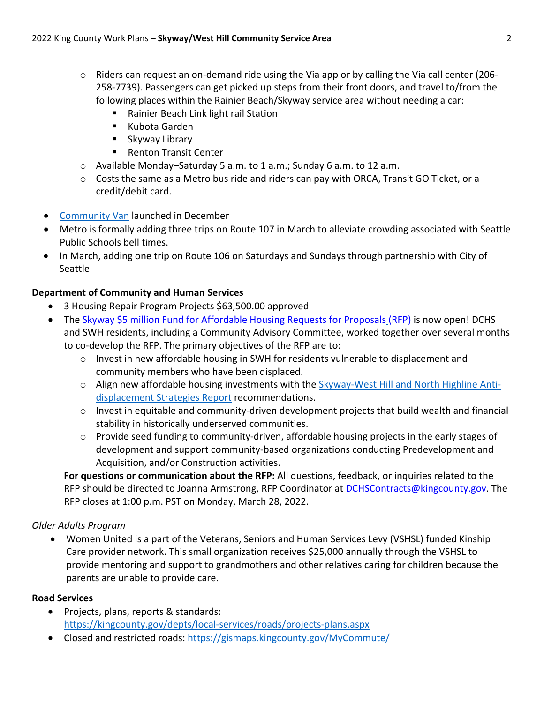- $\circ$  Riders can request an on-demand ride using the Via app or by calling the Via call center (206-258-7739). Passengers can get picked up steps from their front doors, and travel to/from the following places within the Rainier Beach/Skyway service area without needing a car:
	- Rainier Beach Link light rail Station
	- Kubota Garden
	- **Skyway Library**
	- Renton Transit Center
- o Available Monday–Saturday 5 a.m. to 1 a.m.; Sunday 6 a.m. to 12 a.m.
- $\circ$  Costs the same as a Metro bus ride and riders can pay with ORCA, Transit GO Ticket, or a credit/debit card.
- [Community Van](https://kingcounty.gov/depts/transportation/metro/travel-options/rideshare/programs/community-van.aspx) launched in December
- Metro is formally adding three trips on Route 107 in March to alleviate crowding associated with Seattle Public Schools bell times.
- In March, adding one trip on Route 106 on Saturdays and Sundays through partnership with City of Seattle

# **Department of Community and Human Services**

- 3 Housing Repair Program Projects \$63,500.00 approved
- The [Skyway \\$5 million Fund for Affordable Housing Requests for Proposals](https://lnks.gd/l/eyJhbGciOiJIUzI1NiJ9.eyJidWxsZXRpbl9saW5rX2lkIjoxMDAsInVyaSI6ImJwMjpjbGljayIsImJ1bGxldGluX2lkIjoiMjAyMjAxMjQuNTIyNjQzNzEiLCJ1cmwiOiJodHRwczovL3d3dy56b29tZ3JhbnRzLmNvbS96Z2YvU2t5d2F5NU0ifQ.E9gh8vM9-66x0tSieCpI39vHY85zK19FuygAI8Ckw1Y/s/972595119/br/125532959332-l) (RFP) is now open! DCHS and SWH residents, including a Community Advisory Committee, worked together over several months to co-develop the RFP. The primary objectives of the RFP are to:
	- $\circ$  Invest in new affordable housing in SWH for residents vulnerable to displacement and community members who have been displaced.
	- $\circ$  Align new affordable housing investments with the [Skyway-West Hill and North Highline Anti](https://lnks.gd/l/eyJhbGciOiJIUzI1NiJ9.eyJidWxsZXRpbl9saW5rX2lkIjoxMDIsInVyaSI6ImJwMjpjbGljayIsImJ1bGxldGluX2lkIjoiMjAyMjAxMjQuNTIyNjQzNzEiLCJ1cmwiOiJodHRwczovL2tpbmdjb3VudHkuZ292L34vbWVkaWEvZGVwdHMvY29tbXVuaXR5LWh1bWFuLXNlcnZpY2VzL2hvdXNpbmctaG9tZWxlc3NuZXNzLWNvbW11bml0eS1kZXZlbG9wbWVudC9kb2N1bWVudHMvUGxhbnMlMjBhbmQlMjBSZXBvcnRzL0V4Y1NtcnktS0MtU2t5d2F5V0hpbGwtTkhsbi1hbnQtZHNwbGNtbnQtc3RyYXRycHQuYXNoeD9sYT1lbiJ9.fFSFQCPpRRPR3RkbPzyLZZBBpS0Alh043k_j4I5uaRs/s/972595119/br/125532959332-l)[displacement Strategies Report](https://lnks.gd/l/eyJhbGciOiJIUzI1NiJ9.eyJidWxsZXRpbl9saW5rX2lkIjoxMDIsInVyaSI6ImJwMjpjbGljayIsImJ1bGxldGluX2lkIjoiMjAyMjAxMjQuNTIyNjQzNzEiLCJ1cmwiOiJodHRwczovL2tpbmdjb3VudHkuZ292L34vbWVkaWEvZGVwdHMvY29tbXVuaXR5LWh1bWFuLXNlcnZpY2VzL2hvdXNpbmctaG9tZWxlc3NuZXNzLWNvbW11bml0eS1kZXZlbG9wbWVudC9kb2N1bWVudHMvUGxhbnMlMjBhbmQlMjBSZXBvcnRzL0V4Y1NtcnktS0MtU2t5d2F5V0hpbGwtTkhsbi1hbnQtZHNwbGNtbnQtc3RyYXRycHQuYXNoeD9sYT1lbiJ9.fFSFQCPpRRPR3RkbPzyLZZBBpS0Alh043k_j4I5uaRs/s/972595119/br/125532959332-l) recommendations.
	- $\circ$  Invest in equitable and community-driven development projects that build wealth and financial stability in historically underserved communities.
	- $\circ$  Provide seed funding to community-driven, affordable housing projects in the early stages of development and support community-based organizations conducting Predevelopment and Acquisition, and/or Construction activities.

**For questions or communication about the RFP:** All questions, feedback, or inquiries related to the RFP should be directed to Joanna Armstrong, RFP Coordinator at [DCHSContracts@kingcounty.gov.](mailto:DCHSContracts@kingcounty.gov) The RFP closes at 1:00 p.m. PST on Monday, March 28, 2022.

## *Older Adults Program*

• Women United is a part of the Veterans, Seniors and Human Services Levy (VSHSL) funded Kinship Care provider network. This small organization receives \$25,000 annually through the VSHSL to provide mentoring and support to grandmothers and other relatives caring for children because the parents are unable to provide care.

## **Road Services**

- Projects, plans, reports & standards: <https://kingcounty.gov/depts/local-services/roads/projects-plans.aspx>
- Closed and restricted roads:<https://gismaps.kingcounty.gov/MyCommute/>